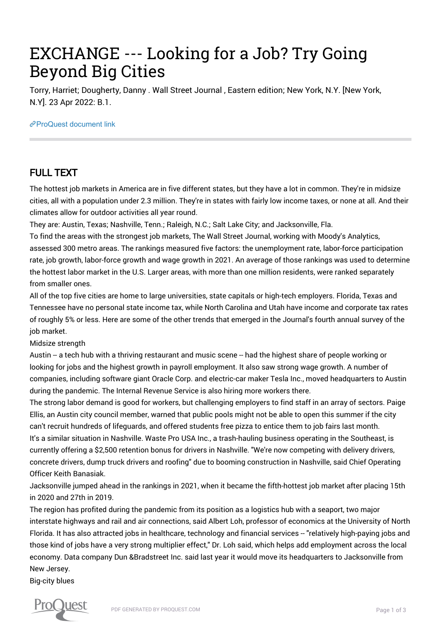# EXCHANGE --- Looking for a Job? Try Going Beyond Big Cities

Torry, Harriet; Dougherty, Danny . Wall Street Journal , Eastern edition; New York, N.Y. [New York, N.Y]. 23 Apr 2022: B.1.

[ProQuest document link](https://www.proquest.com/newspapers/exchange-looking-job-try-going-beyond-big-cities/docview/2653464595/se-2?accountid=44910)

## FULL TEXT

The hottest job markets in America are in five different states, but they have a lot in common. They're in midsize cities, all with a population under 2.3 million. They're in states with fairly low income taxes, or none at all. And their climates allow for outdoor activities all year round.

They are: Austin, Texas; Nashville, Tenn.; Raleigh, N.C.; Salt Lake City; and Jacksonville, Fla.

To find the areas with the strongest job markets, The Wall Street Journal, working with Moody's Analytics, assessed 300 metro areas. The rankings measured five factors: the unemployment rate, labor-force participation rate, job growth, labor-force growth and wage growth in 2021. An average of those rankings was used to determine the hottest labor market in the U.S. Larger areas, with more than one million residents, were ranked separately from smaller ones.

All of the top five cities are home to large universities, state capitals or high-tech employers. Florida, Texas and Tennessee have no personal state income tax, while North Carolina and Utah have income and corporate tax rates of roughly 5% or less. Here are some of the other trends that emerged in the Journal's fourth annual survey of the job market.

Midsize strength

Austin -- a tech hub with a thriving restaurant and music scene -- had the highest share of people working or looking for jobs and the highest growth in payroll employment. It also saw strong wage growth. A number of companies, including software giant Oracle Corp. and electric-car maker Tesla Inc., moved headquarters to Austin during the pandemic. The Internal Revenue Service is also hiring more workers there.

The strong labor demand is good for workers, but challenging employers to find staff in an array of sectors. Paige Ellis, an Austin city council member, warned that public pools might not be able to open this summer if the city can't recruit hundreds of lifeguards, and offered students free pizza to entice them to job fairs last month. It's a similar situation in Nashville. Waste Pro USA Inc., a trash-hauling business operating in the Southeast, is currently offering a \$2,500 retention bonus for drivers in Nashville. "We're now competing with delivery drivers, concrete drivers, dump truck drivers and roofing" due to booming construction in Nashville, said Chief Operating Officer Keith Banasiak.

Jacksonville jumped ahead in the rankings in 2021, when it became the fifth-hottest job market after placing 15th in 2020 and 27th in 2019.

The region has profited during the pandemic from its position as a logistics hub with a seaport, two major interstate highways and rail and air connections, said Albert Loh, professor of economics at the University of North Florida. It has also attracted jobs in healthcare, technology and financial services -- "relatively high-paying jobs and those kind of jobs have a very strong multiplier effect," Dr. Loh said, which helps add employment across the local economy. Data company Dun &Bradstreet Inc. said last year it would move its headquarters to Jacksonville from New Jersey.

Big-city blues

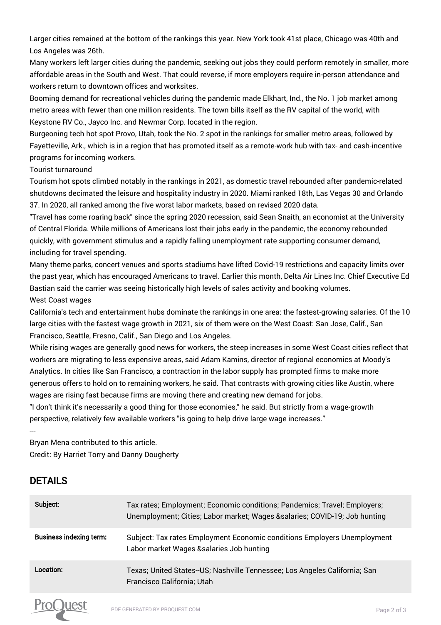Larger cities remained at the bottom of the rankings this year. New York took 41st place, Chicago was 40th and Los Angeles was 26th.

Many workers left larger cities during the pandemic, seeking out jobs they could perform remotely in smaller, more affordable areas in the South and West. That could reverse, if more employers require in-person attendance and workers return to downtown offices and worksites.

Booming demand for recreational vehicles during the pandemic made Elkhart, Ind., the No. 1 job market among metro areas with fewer than one million residents. The town bills itself as the RV capital of the world, with Keystone RV Co., Jayco Inc. and Newmar Corp. located in the region.

Burgeoning tech hot spot Provo, Utah, took the No. 2 spot in the rankings for smaller metro areas, followed by Fayetteville, Ark., which is in a region that has promoted itself as a remote-work hub with tax- and cash-incentive programs for incoming workers.

#### Tourist turnaround

Tourism hot spots climbed notably in the rankings in 2021, as domestic travel rebounded after pandemic-related shutdowns decimated the leisure and hospitality industry in 2020. Miami ranked 18th, Las Vegas 30 and Orlando 37. In 2020, all ranked among the five worst labor markets, based on revised 2020 data.

"Travel has come roaring back" since the spring 2020 recession, said Sean Snaith, an economist at the University of Central Florida. While millions of Americans lost their jobs early in the pandemic, the economy rebounded quickly, with government stimulus and a rapidly falling unemployment rate supporting consumer demand, including for travel spending.

Many theme parks, concert venues and sports stadiums have lifted Covid-19 restrictions and capacity limits over the past year, which has encouraged Americans to travel. Earlier this month, Delta Air Lines Inc. Chief Executive Ed Bastian said the carrier was seeing historically high levels of sales activity and booking volumes. West Coast wages

California's tech and entertainment hubs dominate the rankings in one area: the fastest-growing salaries. Of the 10 large cities with the fastest wage growth in 2021, six of them were on the West Coast: San Jose, Calif., San Francisco, Seattle, Fresno, Calif., San Diego and Los Angeles.

While rising wages are generally good news for workers, the steep increases in some West Coast cities reflect that workers are migrating to less expensive areas, said Adam Kamins, director of regional economics at Moody's Analytics. In cities like San Francisco, a contraction in the labor supply has prompted firms to make more generous offers to hold on to remaining workers, he said. That contrasts with growing cities like Austin, where wages are rising fast because firms are moving there and creating new demand for jobs.

"I don't think it's necessarily a good thing for those economies," he said. But strictly from a wage-growth perspective, relatively few available workers "is going to help drive large wage increases."

Bryan Mena contributed to this article. Credit: By Harriet Torry and Danny Dougherty

### DETAILS

---

| Subject:                       | Tax rates; Employment; Economic conditions; Pandemics; Travel; Employers;<br>Unemployment; Cities; Labor market; Wages & salaries; COVID-19; Job hunting |
|--------------------------------|----------------------------------------------------------------------------------------------------------------------------------------------------------|
| <b>Business indexing term:</b> | Subject: Tax rates Employment Economic conditions Employers Unemployment<br>Labor market Wages & salaries Job hunting                                    |
| Location:                      | Texas; United States--US; Nashville Tennessee; Los Angeles California; San<br>Francisco California; Utah                                                 |
|                                |                                                                                                                                                          |